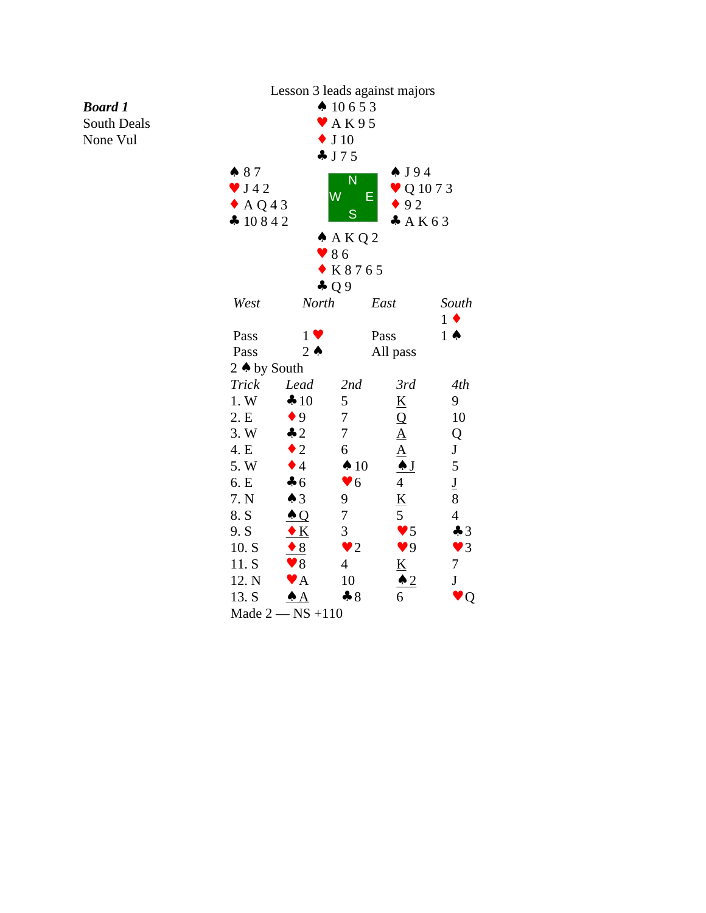## *Board 1*

South Deals None Vul



Made 2 — NS +110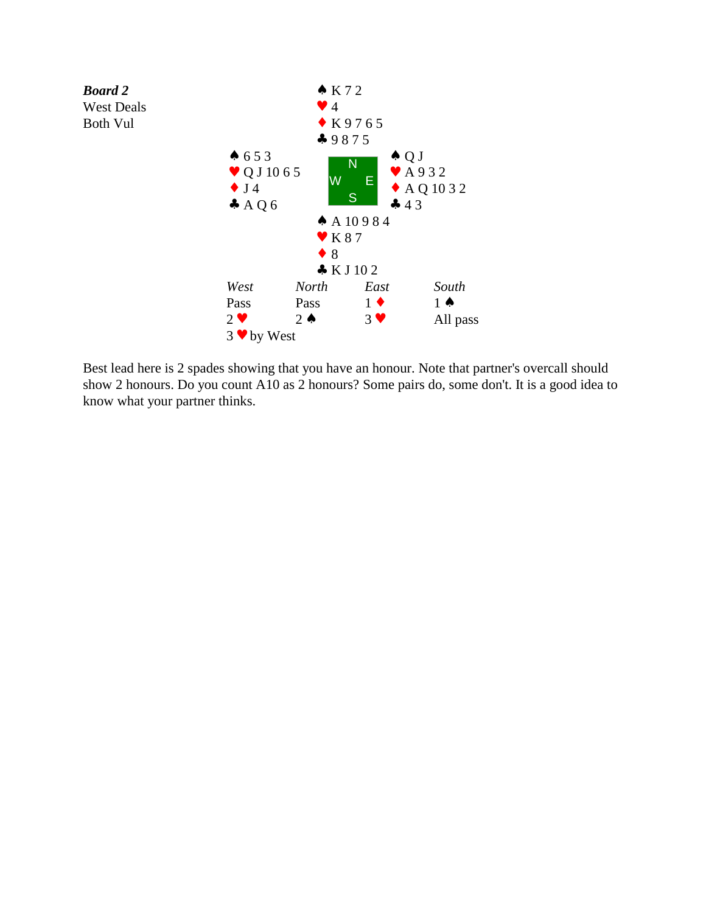

Best lead here is 2 spades showing that you have an honour. Note that partner's overcall should show 2 honours. Do you count A10 as 2 honours? Some pairs do, some don't. It is a good idea to know what your partner thinks.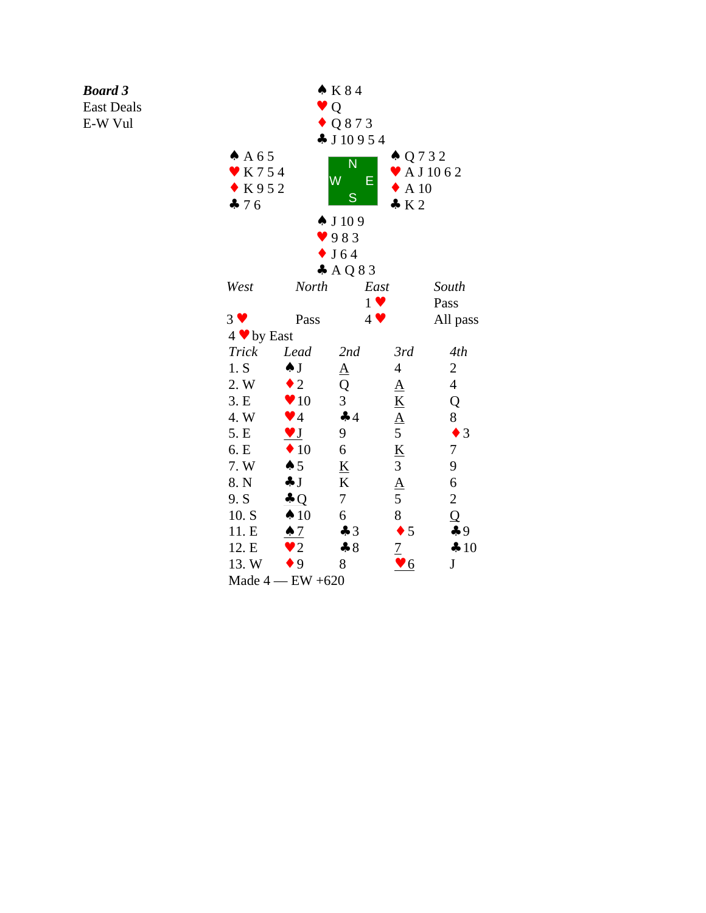## *Board 3*

East Deals

E-W Vul